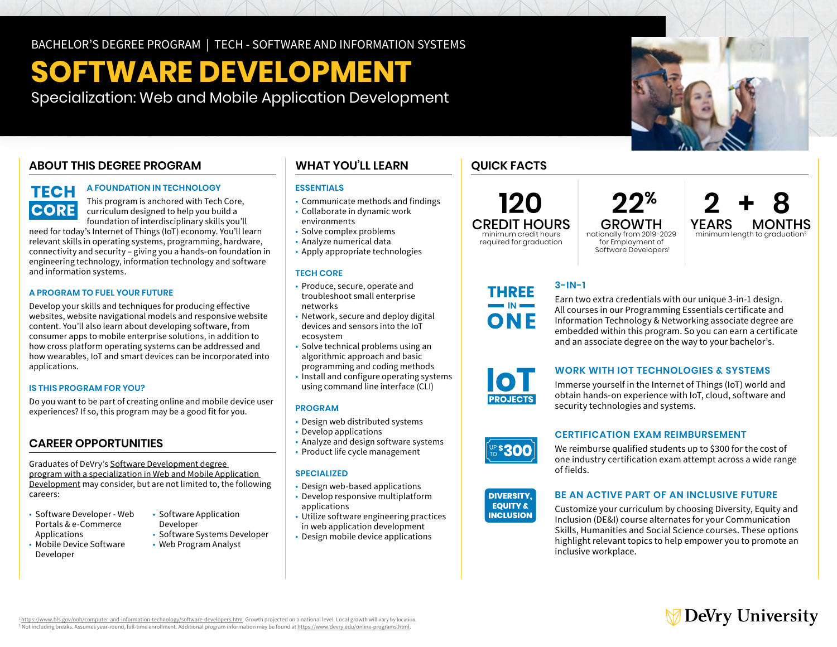# **SOFTWARE DEVELOPMENT**

Specialization: Web and Mobile Application Development

### **ABOUT THIS DEGREE PROGRAM**

## **TECH CORE**

### **A FOUNDATION IN TECHNOLOGY**

This program is anchored with Tech Core, curriculum designed to help you build a foundation of interdisciplinary skills you'll

need for today's Internet of Things (IoT) economy. You'll learn relevant skills in operating systems, programming, hardware, connectivity and security – giving you a hands-on foundation in engineering technology, information technology and software and information systems.

### **A PROGRAM TO FUEL YOUR FUTURE**

BACHELOR'S DEGREE PROGRAM | TECH - SOFTWARE AND INFORMATION SYSTEMS<br>
SPOCICILIZATION: WOD CINN MODIE APPIECITION DEVELOPMENT<br>
AFOUNDATION: WOD CINN MODIE APPIECITION DEVELOPMENT<br>
AFOUNDATION: WOD CINN MODIE APPLICATION CO Develop your skills and techniques for producing effective websites, website navigational models and responsive website content. You'll also learn about developing software, from consumer apps to mobile enterprise solutions, in addition to how cross platform operating systems can be addressed and how wearables, IoT and smart devices can be incorporated into applications.

### **IS THIS PROGRAM FOR YOU?**

Do you want to be part of creating online and mobile device user experiences? If so, this program may be a good fit for you.

### **CAREER OPPORTUNITIES**

Graduates of DeVry's [Software Development degree](https://www.devry.edu/online-programs/bachelors-degrees/software-development/web-and-mobile-application-development-specialization.html)  [program with a specialization in W](https://www.devry.edu/online-programs/bachelors-degrees/software-development/web-and-mobile-application-development-specialization.html)eb and Mobile Application Development may consider, but are not limited to, the following careers:

- Software Developer Web Software Application Portals & e-Commerce
- Mobile Device Software Web Program Analyst Developer
- 
- Applications Software Systems Developer
	-

### **WHAT YOU'LL LEARN**

### **ESSENTIALS**

- Communicate methods and findings
- Collaborate in dynamic work environments
- Solve complex problems
- Analyze numerical data
- Apply appropriate technologies

### **TECH CORE**

- Produce, secure, operate and troubleshoot small enterprise networks
- Network, secure and deploy digital devices and sensors into the IoT ecosystem
- Solve technical problems using an algorithmic approach and basic
- programming and coding methods
- • Install and configure operating systems using command line interface (CLI)

### **PROGRAM**

- Design web distributed systems
- Develop applications
- Analyze and design software systems
- Product life cycle management

### **SPECIALIZED**

- Design web-based applications
- Develop responsive multiplatform applications
- Utilize software engineering practices in web application development
- Design mobile device applications

### **QUICK FACTS**

# **120 22% 2 + 8** required for graduation

CREDIT HOURS GROWTH YEARS MONTHS<br>minimum credit hours nationally from 2019-2029 minimum length to argauation? ionally from 2019-2029 minimum length to graduation<sup>2</sup><br>for Employment of Software Developers<sup>1</sup>

**3-IN-1** 

Earn two extra credentials with our unique 3-in-1 design. All courses in our Programming Essentials certificate and Information Technology & Networking associate degree are embedded within this program. So you can earn a certificate and an associate degree on the way to your bachelor's.

### **WORK WITH IOT TECHNOLOGIES & SYSTEMS**

Immerse yourself in the Internet of Things (IoT) world and obtain hands-on experience with IoT, cloud, software and security technologies and systems.

### **CERTIFICATION EXAM REIMBURSEMENT**

We reimburse qualified students up to \$300 for the cost of r qu<del>entino</del>s<br>cortificat one industry certification exam attempt across a wide range<br>of fields of fields.



### **BE AN ACTIVE PART OF AN INCLUSIVE FUTURE**

Customize your curriculum by choosing Diversity, Equity and Inclusion (DE&I) course alternates for your Communication Skills, Humanities and Social Science courses. These options highlight relevant topics to help empower you to promote an inclusive workplace.



<https://www.bls.gov/ooh/computer-and-information-technology/software-developers.htm>. Growth projected on a national level. Local growth will vary by location <sup>2</sup> Not including breaks. Assumes year-round, full-time enrollment. Additional program information may be found at [https://www.devry.edu/online-programs.html.](https://www.devry.edu/online-programs.html)





**DIVERSITY, ESQAC IO JUU** 

THREE

**ONE**  $\blacksquare$  IN  $\blacksquare$